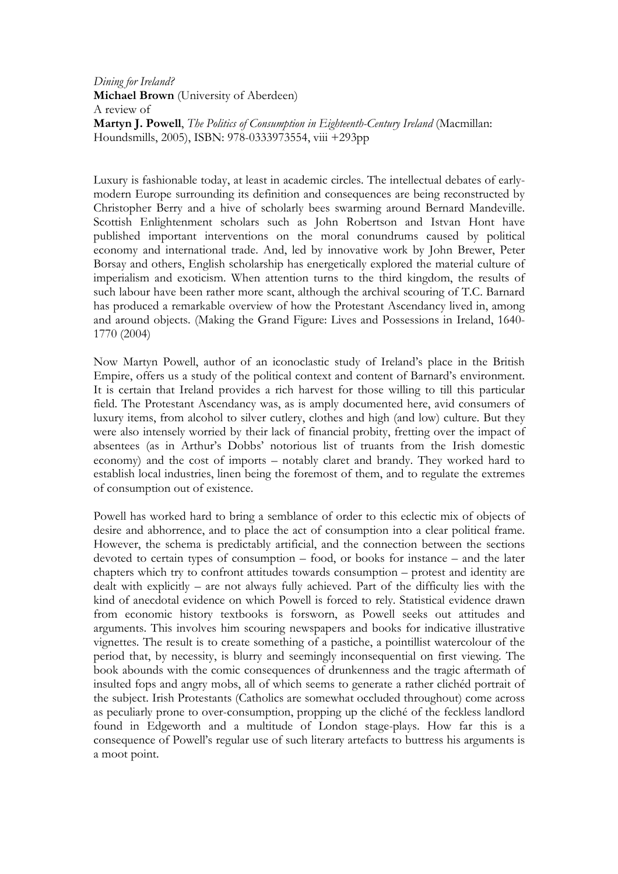Dining for Ireland? Michael Brown (University of Aberdeen) A review of Martyn J. Powell, The Politics of Consumption in Eighteenth-Century Ireland (Macmillan: Houndsmills, 2005), ISBN: 978-0333973554, viii +293pp

Luxury is fashionable today, at least in academic circles. The intellectual debates of earlymodern Europe surrounding its definition and consequences are being reconstructed by Christopher Berry and a hive of scholarly bees swarming around Bernard Mandeville. Scottish Enlightenment scholars such as John Robertson and Istvan Hont have published important interventions on the moral conundrums caused by political economy and international trade. And, led by innovative work by John Brewer, Peter Borsay and others, English scholarship has energetically explored the material culture of imperialism and exoticism. When attention turns to the third kingdom, the results of such labour have been rather more scant, although the archival scouring of T.C. Barnard has produced a remarkable overview of how the Protestant Ascendancy lived in, among and around objects. (Making the Grand Figure: Lives and Possessions in Ireland, 1640- 1770 (2004)

Now Martyn Powell, author of an iconoclastic study of Ireland's place in the British Empire, offers us a study of the political context and content of Barnard's environment. It is certain that Ireland provides a rich harvest for those willing to till this particular field. The Protestant Ascendancy was, as is amply documented here, avid consumers of luxury items, from alcohol to silver cutlery, clothes and high (and low) culture. But they were also intensely worried by their lack of financial probity, fretting over the impact of absentees (as in Arthur's Dobbs' notorious list of truants from the Irish domestic economy) and the cost of imports – notably claret and brandy. They worked hard to establish local industries, linen being the foremost of them, and to regulate the extremes of consumption out of existence.

Powell has worked hard to bring a semblance of order to this eclectic mix of objects of desire and abhorrence, and to place the act of consumption into a clear political frame. However, the schema is predictably artificial, and the connection between the sections devoted to certain types of consumption – food, or books for instance – and the later chapters which try to confront attitudes towards consumption – protest and identity are dealt with explicitly – are not always fully achieved. Part of the difficulty lies with the kind of anecdotal evidence on which Powell is forced to rely. Statistical evidence drawn from economic history textbooks is forsworn, as Powell seeks out attitudes and arguments. This involves him scouring newspapers and books for indicative illustrative vignettes. The result is to create something of a pastiche, a pointillist watercolour of the period that, by necessity, is blurry and seemingly inconsequential on first viewing. The book abounds with the comic consequences of drunkenness and the tragic aftermath of insulted fops and angry mobs, all of which seems to generate a rather clichéd portrait of the subject. Irish Protestants (Catholics are somewhat occluded throughout) come across as peculiarly prone to over-consumption, propping up the cliché of the feckless landlord found in Edgeworth and a multitude of London stage-plays. How far this is a consequence of Powell's regular use of such literary artefacts to buttress his arguments is a moot point.